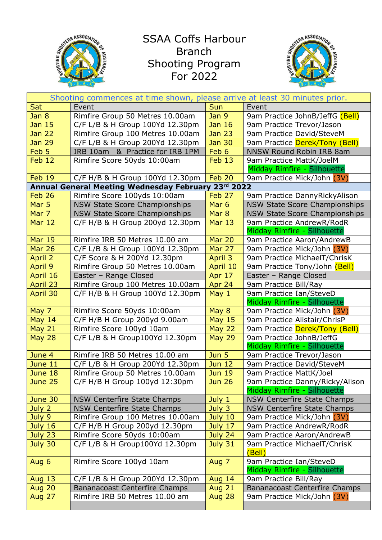

## SSAA Coffs Harbour Branch Shooting Program For 2022



| Shooting commences at time shown, please arrive at least 30 minutes prior. |                                      |                  |                                                        |  |
|----------------------------------------------------------------------------|--------------------------------------|------------------|--------------------------------------------------------|--|
| Sat                                                                        | Event                                | <b>Sun</b>       | Event                                                  |  |
| Jan 8                                                                      | Rimfire Group 50 Metres 10.00am      | Jan 9            | 9am Practice JohnB/JeffG (Bell)                        |  |
| Jan 15                                                                     | C/F L/B & H Group 100Yd 12.30pm      | <b>Jan 16</b>    | 9am Practice Trevor/Jason                              |  |
| <b>Jan 22</b>                                                              | Rimfire Group 100 Metres 10.00am     | <b>Jan 23</b>    | 9am Practice David/SteveM                              |  |
| <b>Jan 29</b>                                                              | C/F L/B & H Group 200Yd 12.30pm      | <b>Jan 30</b>    | 9am Practice Derek/Tony (Bell)                         |  |
| Feb 5                                                                      | IRB 10am & Practice for IRB 1PM      | Feb 6            | NNSW Round Robin IRB 8am                               |  |
| Feb 12                                                                     | Rimfire Score 50yds 10:00am          | Feb 13           | 9am Practice MattK/JoelM                               |  |
|                                                                            |                                      |                  | Midday Rimfire - Silhouette                            |  |
| <b>Feb 19</b>                                                              | C/F H/B & H Group 100Yd 12.30pm      | Feb 20           | 9am Practice Mick/John (3V)                            |  |
| Annual General Meeting Wednesday February 23rd 2022                        |                                      |                  |                                                        |  |
| Feb 26                                                                     | Rimfire Score 100yds 10:00am         | Feb 27           | 9am Practice DannyRickyAlison                          |  |
| Mar 5                                                                      | <b>NSW State Score Championships</b> | Mar <sub>6</sub> | <b>NSW State Score Championships</b>                   |  |
| Mar 7                                                                      | <b>NSW State Score Championships</b> | Mar 8            | <b>NSW State Score Championships</b>                   |  |
| <b>Mar 12</b>                                                              | C/F H/B & H Group 200yd 12.30pm      | <b>Mar 13</b>    | 9am Practice AndrewR/RodR                              |  |
|                                                                            |                                      |                  | Midday Rimfire - Silhouette                            |  |
| <b>Mar 19</b>                                                              | Rimfire IRB 50 Metres 10.00 am       | <b>Mar 20</b>    | 9am Practice Aaron/AndrewB                             |  |
| <b>Mar 26</b>                                                              | C/F L/B & H Group 100Yd 12.30pm      | <b>Mar 27</b>    | 9am Practice Mick/John (3V)                            |  |
| April 2                                                                    | C/F Score & H 200Yd 12.30pm          | April 3          | 9am Practice MichaelT/ChrisK                           |  |
| April 9                                                                    | Rimfire Group 50 Metres 10.00am      | April 10         | 9am Practice Tony/John (Bell)                          |  |
| April 16                                                                   | Easter - Range Closed                | Apr 17           | Easter - Range Closed                                  |  |
| April 23                                                                   | Rimfire Group 100 Metres 10.00am     | Apr 24           | 9am Practice Bill/Ray                                  |  |
| April 30                                                                   | C/F H/B & H Group 100Yd 12.30pm      | May 1            | 9am Practice Ian/SteveD                                |  |
|                                                                            |                                      |                  | Midday Rimfire - Silhouette                            |  |
| May 7                                                                      | Rimfire Score 50yds 10:00am          | May 8            | 9am Practice Mick/John (3V)                            |  |
| <b>May 14</b>                                                              | C/F H/B H Group 200yd 9.00am         | <b>May 15</b>    | 9am Practice Alistair/ChrisP                           |  |
| <b>May 21</b>                                                              | Rimfire Score 100yd 10am             | <b>May 22</b>    | 9am Practice Derek/Tony (Bell)                         |  |
| <b>May 28</b>                                                              | C/F L/B & H Group100Yd 12.30pm       | <b>May 29</b>    | 9am Practice JohnB/JeffG                               |  |
|                                                                            |                                      |                  | Midday Rimfire - Silhouette                            |  |
| June 4                                                                     | Rimfire IRB 50 Metres 10.00 am       | Jun 5            | 9am Practice Trevor/Jason                              |  |
| June 11                                                                    | C/F L/B & H Group 200Yd 12.30pm      | <b>Jun 12</b>    | 9am Practice David/SteveM                              |  |
| June 18                                                                    | Rimfire Group 50 Metres 10.00am      | <b>Jun 19</b>    | 9am Practice MattK/Joel                                |  |
| June 25                                                                    | C/F H/B H Group 100yd 12:30pm        | <b>Jun 26</b>    | 9am Practice Danny/Ricky/Alison                        |  |
|                                                                            |                                      |                  | Midday Rimfire - Silhouette                            |  |
| June 30                                                                    | <b>NSW Centerfire State Champs</b>   | July 1           | <b>NSW Centerfire State Champs</b>                     |  |
| July 2                                                                     | <b>NSW Centerfire State Champs</b>   | July 3           | <b>NSW Centerfire State Champs</b>                     |  |
| July 9                                                                     | Rimfire Group 100 Metres 10.00am     | July 10          | 9am Practice Mick/John (3V)                            |  |
| <b>July 16</b>                                                             | C/F H/B H Group 200yd 12.30pm        | July 17          | 9am Practice AndrewR/RodR                              |  |
| July 23                                                                    | Rimfire Score 50yds 10:00am          | <b>July 24</b>   | 9am Practice Aaron/AndrewB                             |  |
| July 30                                                                    | C/F L/B & H Group100Yd 12.30pm       | July 31          | 9am Practice MichaelT/ChrisK<br>(Bell)                 |  |
| Aug 6                                                                      | Rimfire Score 100yd 10am             | Aug 7            | 9am Practice Ian/SteveD<br>Midday Rimfire - Silhouette |  |
| <b>Aug 13</b>                                                              | C/F L/B & H Group 200Yd 12.30pm      | <b>Aug 14</b>    | 9am Practice Bill/Ray                                  |  |
| <b>Aug 20</b>                                                              | <b>Bananacoast Centerfire Champs</b> | <b>Aug 21</b>    | Bananacoast Centerfire Champs                          |  |
| <b>Aug 27</b>                                                              | Rimfire IRB 50 Metres 10.00 am       | <b>Aug 28</b>    | 9am Practice Mick/John (3V)                            |  |
|                                                                            |                                      |                  |                                                        |  |